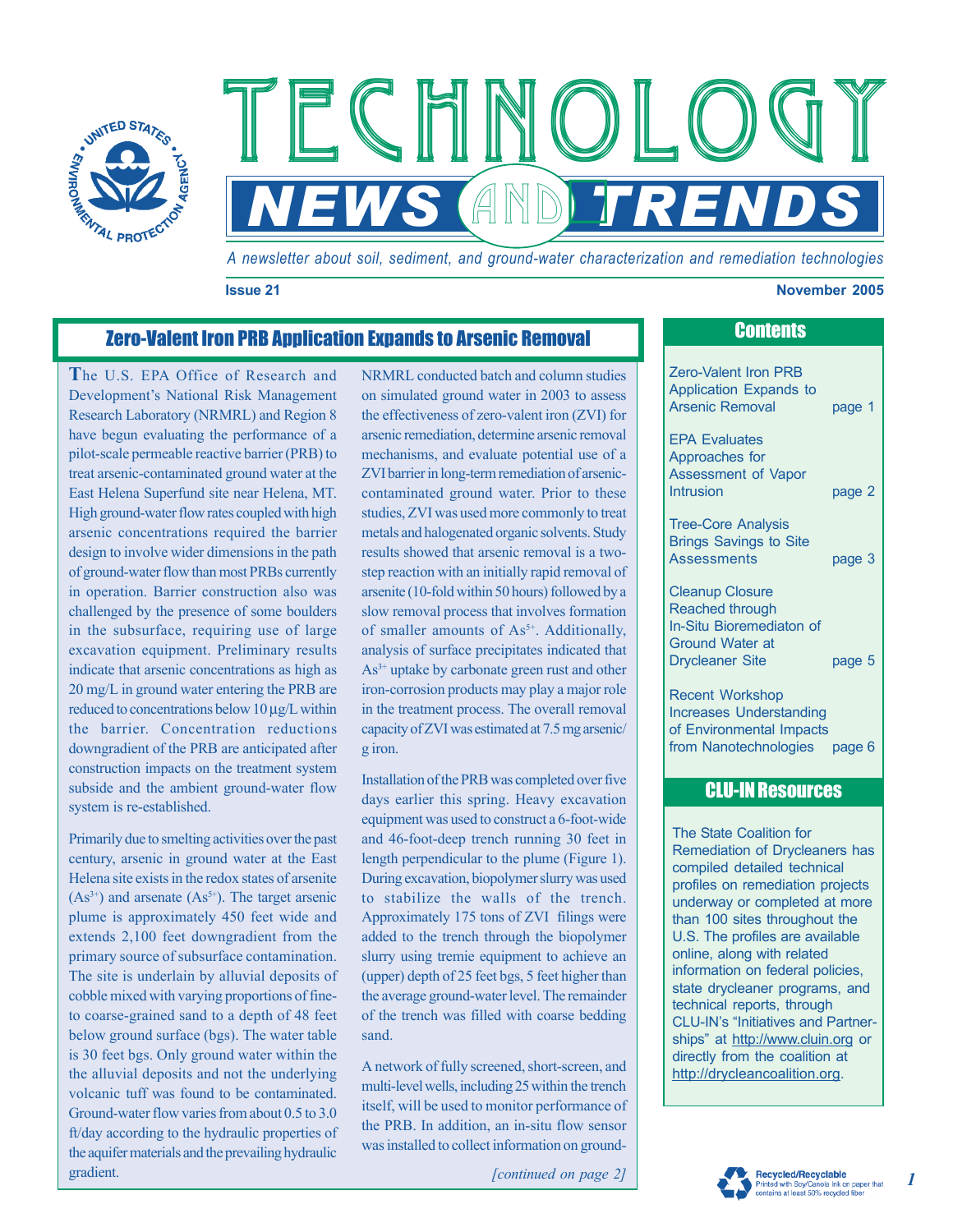

*A newsletter about soil, sediment, and ground-water characterization and remediation technologies* 

**NEWS ANDETRENDS** 

 $F \in H \times O$ 

#### **Issue 21 November 2005**

# **Zero-Valent Iron PRB Application Expands to Arsenic Removal Contents Contents**

**T**he U.S. EPA Office of Research and Development's National Risk Management Research Laboratory (NRMRL) and Region 8 have begun evaluating the performance of a pilot-scale permeable reactive barrier (PRB) to treat arsenic-contaminated ground water at the East Helena Superfund site near Helena, MT. High ground-water flow rates coupled with high arsenic concentrations required the barrier design to involve wider dimensions in the path of ground-water flow than most PRBs currently in operation. Barrier construction also was challenged by the presence of some boulders in the subsurface, requiring use of large excavation equipment. Preliminary results indicate that arsenic concentrations as high as 20 mg/L in ground water entering the PRB are reduced to concentrations below 10 µg/L within the barrier. Concentration reductions downgradient of the PRB are anticipated after construction impacts on the treatment system subside and the ambient ground-water flow system is re-established.

Primarily due to smelting activities over the past century, arsenic in ground water at the East Helena site exists in the redox states of arsenite  $(As<sup>3+</sup>)$  and arsenate  $(As<sup>5+</sup>)$ . The target arsenic plume is approximately 450 feet wide and extends 2,100 feet downgradient from the primary source of subsurface contamination. The site is underlain by alluvial deposits of cobble mixed with varying proportions of fineto coarse-grained sand to a depth of 48 feet below ground surface (bgs). The water table is 30 feet bgs. Only ground water within the the alluvial deposits and not the underlying volcanic tuff was found to be contaminated. Ground-water flow varies from about 0.5 to 3.0 ft/day according to the hydraulic properties of the aquifer materials and the prevailing hydraulic gradient.

NRMRL conducted batch and column studies on simulated ground water in 2003 to assess the effectiveness of zero-valent iron (ZVI) for arsenic remediation, determine arsenic removal mechanisms, and evaluate potential use of a ZVI barrier in long-term remediation of arseniccontaminated ground water. Prior to these studies, ZVI was used more commonly to treat metals and halogenated organic solvents. Study results showed that arsenic removal is a twostep reaction with an initially rapid removal of arsenite (10-fold within 50 hours) followed by a slow removal process that involves formation of smaller amounts of  $As<sup>5+</sup>$ . Additionally, analysis of surface precipitates indicated that As<sup>3+</sup> uptake by carbonate green rust and other iron-corrosion products may play a major role in the treatment process. The overall removal capacity of ZVI was estimated at 7.5 mg arsenic/ g iron.

Installation of the PRB was completed over five days earlier this spring. Heavy excavation equipment was used to construct a 6-foot-wide and 46-foot-deep trench running 30 feet in length perpendicular to the plume (Figure 1). During excavation, biopolymer slurry was used to stabilize the walls of the trench. Approximately 175 tons of ZVI filings were added to the trench through the biopolymer slurry using tremie equipment to achieve an (upper) depth of 25 feet bgs, 5 feet higher than the average ground-water level. The remainder of the trench was filled with coarse bedding sand.

A network of fully screened, short-screen, and multi-level wells, including 25 within the trench itself, will be used to monitor performance of the PRB. In addition, an in-situ flow sensor was installed to collect information on ground-

*[continued on page 2]* 

Zero-Valent Iron PRB Application Expands to Arsenic Removal page 1 EPA Evaluates Approaches for Assessment of Vapor Intrusion **page 2** Tree-Core Analysis Brings Savings to Site Assessments page 3 Cleanup Closure Reached through In-Situ Bioremediaton of Ground Water at Drycleaner Site bage 5 Recent Workshop Increases Understanding of Environmental Impacts

## CLU-IN Resources

from Nanotechnologies page 6

The State Coalition for Remediation of Drycleaners has compiled detailed technical profiles on remediation projects underway or completed at more than 100 sites throughout the U.S. The profiles are available online, along with related information on federal policies, state drycleaner programs, and technical reports, through CLU-IN's "Initiatives and Partnerships" at <http://www.cluin.org> or directly from the coalition at [http://drycleancoalition.org.](http://drycleancoalition.org)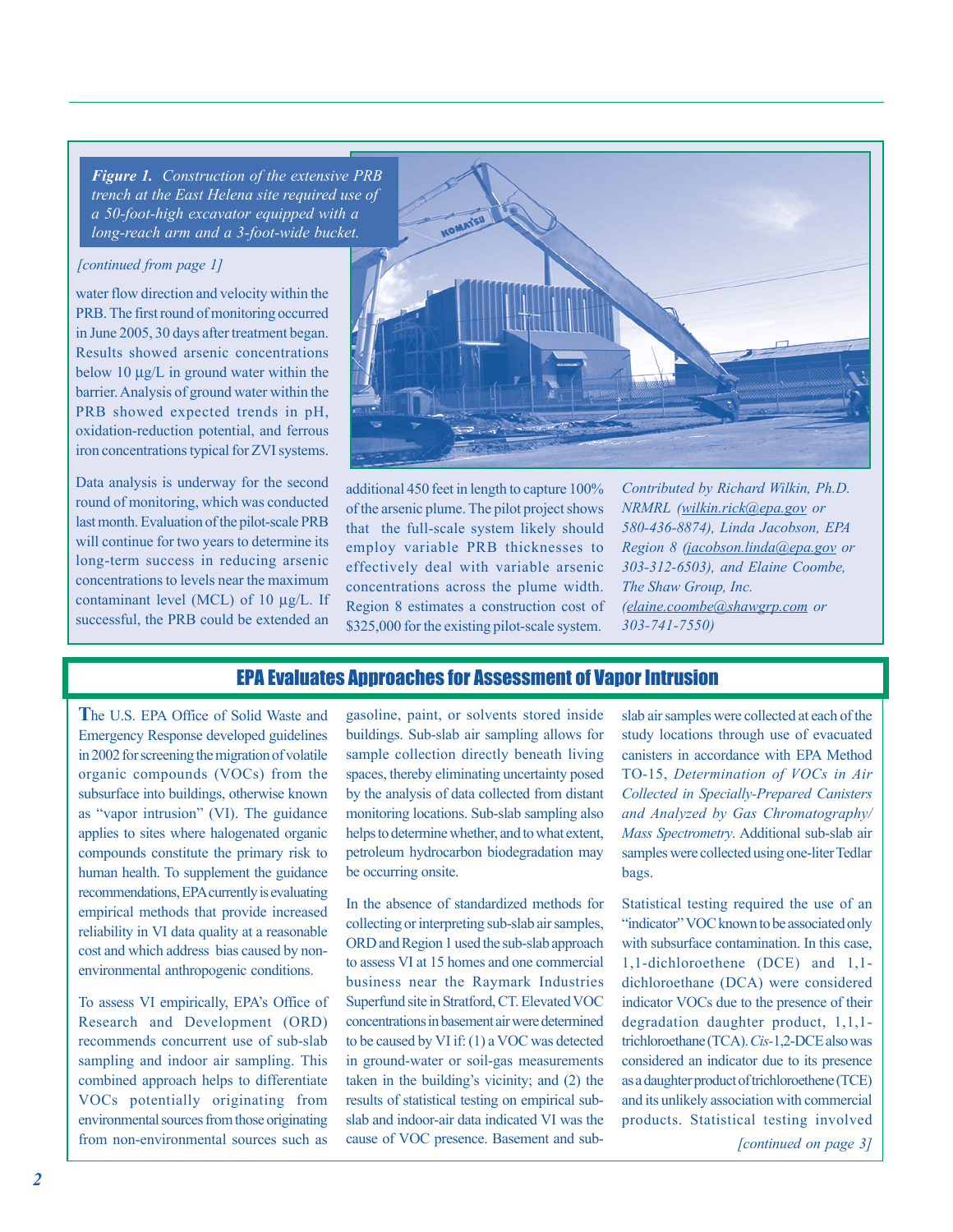*Figure 1. Construction of the extensive PRB a 50-foot-high excavator equipped with a trench at the East Helena site required use of long-reach arm and a 3-foot-wide bucket.* 

#### *[continued from page 1]*

water flow direction and velocity within the PRB. The first round of monitoring occurred in June 2005, 30 days after treatment began. Results showed arsenic concentrations below 10 µg/L in ground water within the PRB showed expected trends in pH, oxidation-reduction potential, and ferrous iron concentrations typical for ZVI systems. barrier. Analysis of ground water within the

Data analysis is underway for the second round of monitoring, which was conducted last month. Evaluation of the pilot-scale PRB will continue for two years to determine its long-term success in reducing arsenic concentrations to levels near the maximum contaminant level (MCL) of 10 µg/L. If successful, the PRB could be extended an



additional 450 feet in length to capture 100% of the arsenic plume. The pilot project shows that the full-scale system likely should employ variable PRB thicknesses to effectively deal with variable arsenic concentrations across the plume width. Region 8 estimates a construction cost of \$325,000 for the existing pilot-scale system.

*NRMRL (wilkin.rick@epa.gov or Region 8 ( jacobson.linda@epa.gov or 303-312-6503), and Elaine Coombe, The Shaw Group, Inc. ( elaine.coombe@shawgrp.com or 303-741-7550) Contributed by Richard Wilkin, Ph.D. 580-436-8874), Linda Jacobson, EPA* 

## EPA Evaluates Approaches for Assessment of Vapor Intrusion

**T** he U.S. EPA Office of Solid Waste and Emergency Response developed guidelines in 2002 for screening the migration of volatile subsurface into buildings, otherwise known as "vapor intrusion" (VI). The guidance applies to sites where halogenated organic compounds constitute the primary risk to empirical methods that provide increased reliability in VI data quality at a reasonable cost and which address bias caused by nonenvironmental anthropogenic conditions. organic compounds (VOCs) from the human health. To supplement the guidance recommendations, EPA currently is evaluating

Research and Development (ORD) recommends concurrent use of sub-slab sampling and indoor air sampling. This combined approach helps to differentiate VOCs potentially originating from environmental sources from those originating from non-environmental sources such as To assess VI empirically, EPA's Office of buildings. Sub-slab air sampling allows for sample collection directly beneath living spaces, thereby eliminating uncertainty posed by the analysis of data collected from distant monitoring locations. Sub-slab sampling also petroleum hydrocarbon biodegradation may be occurring onsite. gasoline, paint, or solvents stored inside helps to determine whether, and to what extent,

In the absence of standardized methods for collecting or interpreting sub-slab air samples, ORD and Region 1 used the sub-slab approach to assess VI at 15 homes and one commercial business near the Raymark Industries concentrations in basement air were determined in ground-water or soil-gas measurements results of statistical testing on empirical subcause of VOC presence. Basement and sub-Superfund site in Stratford, CT. Elevated VOC to be caused by VI if: (1) a VOC was detected taken in the building's vicinity; and (2) the slab and indoor-air data indicated VI was the

slab air samples were collected at each of the study locations through use of evacuated TO-15, *Determination of VOCs in Air Collected in Specially-Prepared Canisters and Analyzed by Gas Chromatography/*  bags. canisters in accordance with EPA Method *Mass Spectrometry*. Additional sub-slab air samples were collected using one-liter Tedlar

Statistical testing required the use of an "indicator" VOC known to be associated only 1,1-dichloroethene (DCE) and 1,1 dichloroethane (DCA) were considered indicator VOCs due to the presence of their degradation daughter product, 1,1,1 trichloroethane (TCA). *Cis-*1,2-DCE also was considered an indicator due to its presence as a daughter product of trichloroethene (TCE) and its unlikely association with commercial products. Statistical testing involved with subsurface contamination. In this case,

*[continued on page 3]*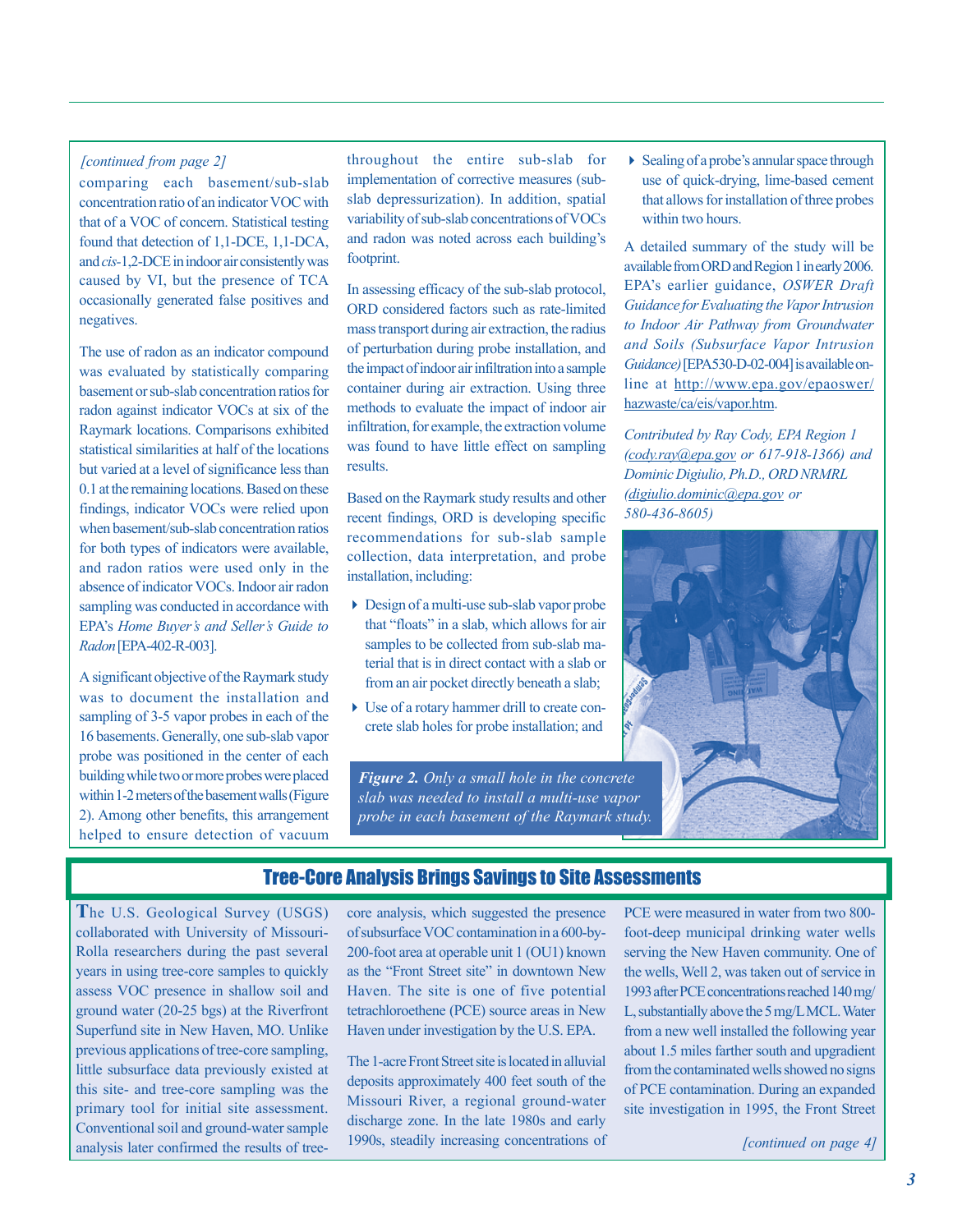### *[continued from page 2]*

comparing each basement/sub-slab concentration ratio of an indicator VOC with that of a VOC of concern. Statistical testing found that detection of 1,1-DCE, 1,1-DCA, and *cis-*1,2-DCE in indoor air consistently was occasionally generated false positives and negatives. caused by VI, but the presence of TCA

The use of radon as an indicator compound was evaluated by statistically comparing basement or sub-slab concentration ratios for radon against indicator VOCs at six of the Raymark locations. Comparisons exhibited statistical similarities at half of the locations but varied at a level of significance less than 0.1 at the remaining locations. Based on these findings, indicator VOCs were relied upon when basement/sub-slab concentration ratios for both types of indicators were available, and radon ratios were used only in the absence of indicator VOCs. Indoor air radon sampling was conducted in accordance with *Radon* [EPA-402-R-003]. EPA's *Home Buyer's and Seller's Guide to* 

A significant objective of the Raymark study was to document the installation and sampling of 3-5 vapor probes in each of the probe was positioned in the center of each building while two or more probes were placed within 1-2 meters of the basement walls (Figure helped to ensure detection of vacuum 16 basements. Generally, one sub-slab vapor 2). Among other benefits, this arrangement throughout the entire sub-slab for implementation of corrective measures (subslab depressurization). In addition, spatial variability of sub-slab concentrations of VOCs footprint. and radon was noted across each building's

In assessing efficacy of the sub-slab protocol, ORD considered factors such as rate-limited mass transport during air extraction, the radius of perturbation during probe installation, and the impact of indoor air infiltration into a sample container during air extraction. Using three methods to evaluate the impact of indoor air infiltration, for example, the extraction volume was found to have little effect on sampling results.

Based on the Raymark study results and other recent findings, ORD is developing specific recommendations for sub-slab sample collection, data interpretation, and probe installation, including:

- Design of a multi-use sub-slab vapor probe that "floats" in a slab, which allows for air samples to be collected from sub-slab material that is in direct contact with a slab or from an air pocket directly beneath a slab;
- Use of a rotary hammer drill to create concrete slab holes for probe installation; and

*Figure 2. Only a small hole in the concrete slab was needed to install a multi-use vapor probe in each basement of the Raymark study.* 

Sealing of a probe's annular space through use of quick-drying, lime-based cement that allows for installation of three probes within two hours.

A detailed summary of the study will be available from ORD and Region 1 in early 2006. EPA's earlier guidance, OSWER Draft *to Indoor Air Pathway from Groundwater Guidance)* [ EPA530-D-02-004] is available online at <http://www.epa.gov/epaoswer/> hazwaste/ca/eis/vapor.htm. *Guidance for Evaluating the Vapor Intrusion and Soils (Subsurface Vapor Intrusion* 

*(cody .ray@epa.gov or 617-918-1366) and Dominic Digiulio, Ph.D., ORD NRMRL ( digiulio.dominic@epa.gov or 580-436-8605) Contributed by Ray Cody, EPA Region 1* 



## Tree-Core Analysis Brings Savings to Site Assessments

**T**he U.S. Geological Survey (USGS) collaborated with University of Missouri-Rolla researchers during the past several years in using tree-core samples to quickly assess VOC presence in shallow soil and ground water (20-25 bgs) at the Riverfront Superfund site in New Haven, MO. Unlike previous applications of tree-core sampling, little subsurface data previously existed at this site- and tree-core sampling was the primary tool for initial site assessment. Conventional soil and ground-water sample analysis later confirmed the results of treecore analysis, which suggested the presence of subsurface VOC contamination in a 600-by-200-foot area at operable unit 1 (OU1) known as the "Front Street site" in downtown New Haven. The site is one of five potential tetrachloroethene (PCE) source areas in New Haven under investigation by the U.S. EPA.

The 1-acre Front Street site is located in alluvial deposits approximately 400 feet south of the discharge zone. In the late 1980s and early 1990s, steadily increasing concentrations of Missouri River, a regional ground-water

PCE were measured in water from two 800 foot-deep municipal drinking water wells 1993 after PCE concentrations reached 140 mg/ from a new well installed the following year about 1.5 miles farther south and upgradient from the contaminated wells showed no signs site investigation in 1995, the Front Street serving the New Haven community. One of the wells, Well 2, was taken out of service in L, substantially above the 5 mg/L MCL. Water of PCE contamination. During an expanded

*[continued on page 4]*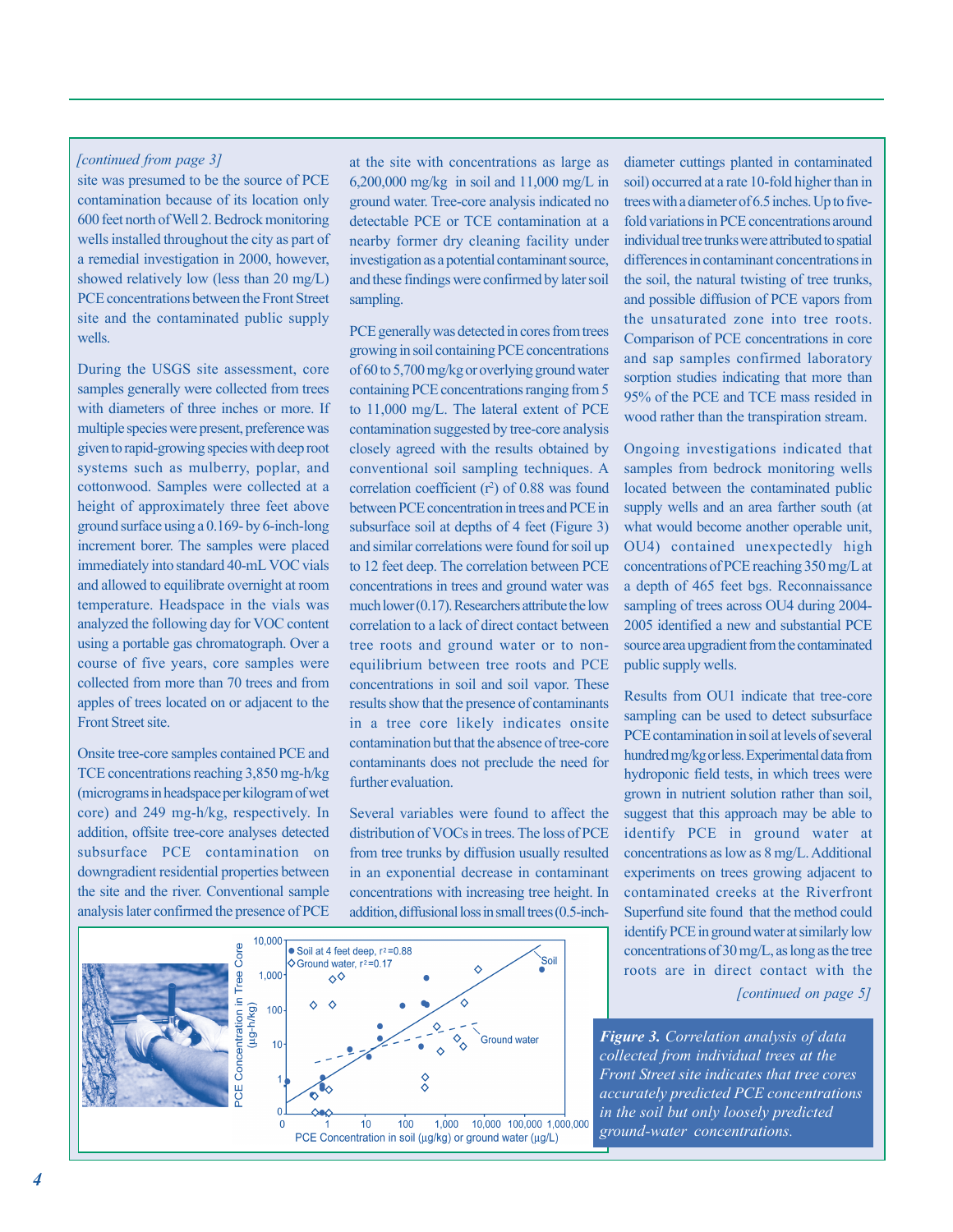#### *[continued from page 3]*

site was presumed to be the source of PCE contamination because of its location only wells installed throughout the city as part of PCE concentrations between the Front Street site and the contaminated public supply wells. 600 feet north of Well 2. Bedrock monitoring a remedial investigation in 2000, however, showed relatively low (less than 20 mg/L)

During the USGS site assessment, core samples generally were collected from trees with diameters of three inches or more. If multiple species were present, preference was given to rapid-growing species with deep root cottonwood. Samples were collected at a height of approximately three feet above ground surface using a 0.169- by 6-inch-long immediately into standard 40-mL VOC vials and allowed to equilibrate overnight at room temperature. Headspace in the vials was analyzed the following day for VOC content using a portable gas chromatograph. Over a course of five years, core samples were collected from more than 70 trees and from Front Street site. systems such as mulberry, poplar, and increment borer. The samples were placed apples of trees located on or adjacent to the

Onsite tree-core samples contained PCE and TCE concentrations reaching 3,850 mg-h/kg (micrograms in headspace per kilogram of wet addition, offsite tree-core analyses detected subsurface PCE contamination on downgradient residential properties between analysis later confirmed the presence of PCE core) and 249 mg-h/kg, respectively. In the site and the river. Conventional sample

at the site with concentrations as large as 6,200,000 mg/kg in soil and 11,000 mg/L in detectable PCE or TCE contamination at a nearby former dry cleaning facility under investigation as a potential contaminant source, and these findings were confirmed by later soil sampling. ground water. Tree-core analysis indicated no

PCE generally was detected in cores from trees growing in soil containing PCE concentrations of 60 to 5,700 mg/kg or overlying ground water containing PCE concentrations ranging from 5 to 11,000 mg/L. The lateral extent of PCE contamination suggested by tree-core analysis closely agreed with the results obtained by correlation coefficient  $(r^2)$  of 0.88 was found between PCE concentration in trees and PCE in subsurface soil at depths of 4 feet (Figure 3) and similar correlations were found for soil up to 12 feet deep. The correlation between PCE concentrations in trees and ground water was much lower (0.17). Researchers attribute the low correlation to a lack of direct contact between tree roots and ground water or to nonequilibrium between tree roots and PCE results show that the presence of contaminants in a tree core likely indicates onsite contamination but that the absence of tree-core contaminants does not preclude the need for further evaluation. conventional soil sampling techniques. A concentrations in soil and soil vapor. These

Several variables were found to affect the distribution of VOCs in trees. The loss of PCE from tree trunks by diffusion usually resulted in an exponential decrease in contaminant concentrations with increasing tree height. In addition, diffusional loss in small trees (0.5-inch-



diameter cuttings planted in contaminated soil) occurred at a rate 10-fold higher than in trees with a diameter of 6.5 inches. Up to fivefold variations in PCE concentrations around individual tree trunks were attributed to spatial differences in contaminant concentrations in the soil, the natural twisting of tree trunks, the unsaturated zone into tree roots. Comparison of PCE concentrations in core and sap samples confirmed laboratory sorption studies indicating that more than wood rather than the transpiration stream. and possible diffusion of PCE vapors from 95% of the PCE and TCE mass resided in

Ongoing investigations indicated that samples from bedrock monitoring wells located between the contaminated public supply wells and an area farther south (at what would become another operable unit, OU4) contained unexpectedly high concentrations of PCE reaching 350 mg/L at a depth of 465 feet bgs. Reconnaissance sampling of trees across OU4 during 2004- 2005 identified a new and substantial PCE source area upgradient from the contaminated public supply wells.

Results from OU1 indicate that tree-core sampling can be used to detect subsurface PCE contamination in soil at levels of several hundred mg/kg or less. Experimental data from hydroponic field tests, in which trees were grown in nutrient solution rather than soil, suggest that this approach may be able to identify PCE in ground water at experiments on trees growing adjacent to contaminated creeks at the Riverfront Superfund site found that the method could identify PCE in ground water at similarly low concentrations of 30 mg/L, as long as the tree roots are in direct contact with the concentrations as low as 8 mg/L. Additional

*[continued on page 5]* 

*Figure 3. Correlation analysis of data concentrations. ground-water collected from individual trees at the Front Street site indicates that tree cores accurately predicted PCE concentrations in the soil but only loosely predicted*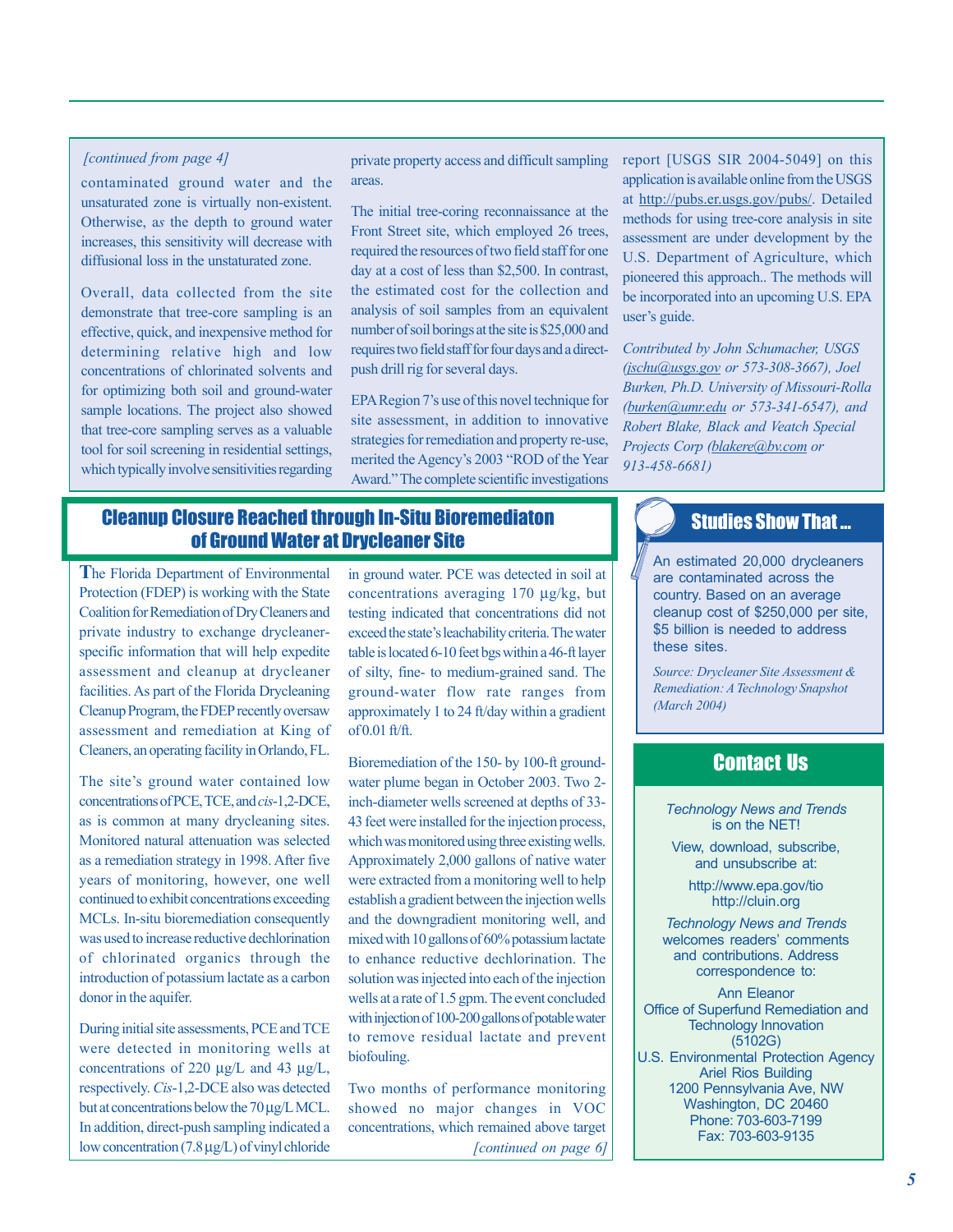#### *[continued from page 4]*

contaminated ground water and the unsaturated zone is virtually non-existent. Otherwise, a*s* the depth to ground water increases, this sensitivity will decrease with diffusional loss in the unstaturated zone.

Overall, data collected from the site demonstrate that tree-core sampling is an effective, quick, and inexpensive method for determining relative high and low concentrations of chlorinated solvents and for optimizing both soil and ground-water sample locations. The project also showed that tree-core sampling serves as a valuable tool for soil screening in residential settings, which typically involve sensitivities regarding

private property access and difficult sampling areas.

The initial tree-coring reconnaissance at the Front Street site, which employed 26 trees, required the resources of two field staff for one day at a cost of less than \$2,500. In contrast, the estimated cost for the collection and analysis of soil samples from an equivalent number of soil borings at the site is \$25,000 and requires two field staff for four days and a directpush drill rig for several days.

site assessment, in addition to innovative strategies for remediation and property re-use, EPA Region 7's use of this novel technique for merited the Agency's 2003 "ROD of the Year Award." The complete scientific investigations

## Cleanup Closure Reached through In-Situ Bioremediaton of Ground Water at Drycleaner Site

**T**he Florida Department of Environmental Protection (FDEP) is working with the State Coalition for Remediation of Dry Cleaners and private industry to exchange drycleanerspecific information that will help expedite assessment and cleanup at drycleaner Cleanup Program, the FDEP recently oversaw assessment and remediation at King of Cleaners, an operating facility in Orlando, FL. facilities. As part of the Florida Drycleaning

concentrations of PCE, TCE, and *cis*-1,2-DCE, as is common at many drycleaning sites. Monitored natural attenuation was selected continued to exhibit concentrations exceeding MCLs. In-situ bioremediation consequently was used to increase reductive dechlorination of chlorinated organics through the introduction of potassium lactate as a carbon The site's ground water contained low as a remediation strategy in 1998. After five years of monitoring, however, one well donor in the aquifer.

During initial site assessments, PCE and TCE were detected in monitoring wells at concentrations of 220 µg/L and 43 µg/L, respectively. Cis-1,2-DCE also was detected but at concentrations below the 70 µg/L MCL. In addition, direct-push sampling indicated a low concentration (7.8 µg/L) of vinyl chloride

concentrations averaging 170 µg/kg, but testing indicated that concentrations did not table is located 6-10 feet bgs within a 46-ft layer ground-water flow rate ranges from approximately 1 to 24 ft/day within a gradient of 0.01 ft/ft. in ground water. PCE was detected in soil at exceed the state's leachability criteria. The water of silty, fine- to medium-grained sand. The

Bioremediation of the 150- by 100-ft groundinch-diameter wells screened at depths of 33- 43 feet were installed for the injection process, which was monitored using three existing wells. Approximately 2,000 gallons of native water were extracted from a monitoring well to help establish a gradient between the injection wells and the downgradient monitoring well, and mixed with 10 gallons of 60% potassium lactate to enhance reductive dechlorination. The solution was injected into each of the injection wells at a rate of 1.5 gpm. The event concluded with injection of 100-200 gallons of potable water to remove residual lactate and prevent biofouling. water plume began in October 2003. Two 2-

showed no major changes in VOC concentrations, which remained above target *[continued on page 6]*  Two months of performance monitoring report [USGS SIR 2004-5049] on this application is available online from the USGS at [http://pubs.er.usgs.gov/pubs/.](http://pubs.er.usgs.gov/pubs/) Detailed methods for using tree-core analysis in site assessment are under development by the pioneered this approach.. The methods will U.S. Department of Agriculture, which be incorporated into an upcoming U.S. EPA user's guide.

*(jschu@usgs.gov or 573-308-3667), Joel Burken, Ph.D. University of Missouri-Rolla (burken@umr .edu or 573-341-6547), and blakere@bv.com or Projects Corp ( 913-458-6681) Contributed by John Schumacher, USGS Robert Blake, Black and Veatch Special* 

## Studies Show That …

An estimated 20,000 drycleaners are contaminated across the cleanup cost of \$250,000 per site, \$5 billion is needed to address these sites. country. Based on an average

*Source: Drycleaner Site Assessment & (March 2004) Remediation: A Technology Snapshot* 

## Contact Us

*T echnology News and Trends*  is on the NET!

and unsubscribe at: View, download, subscribe,

> <http://cluin.org> <http://www.epa.gov/tio>

welcomes readers' comments correspondence to: *Technology News and Trends*  and contributions. Address

Ann Eleanor Office of Superfund Remediation and (5102G) Ariel Rios Building Washington, DC 20460 Phone: 703-603-7199 Fax: 703-603-9135 Technology Innovation U.S. Environmental Protection Agency 1200 Pennsylvania Ave, NW